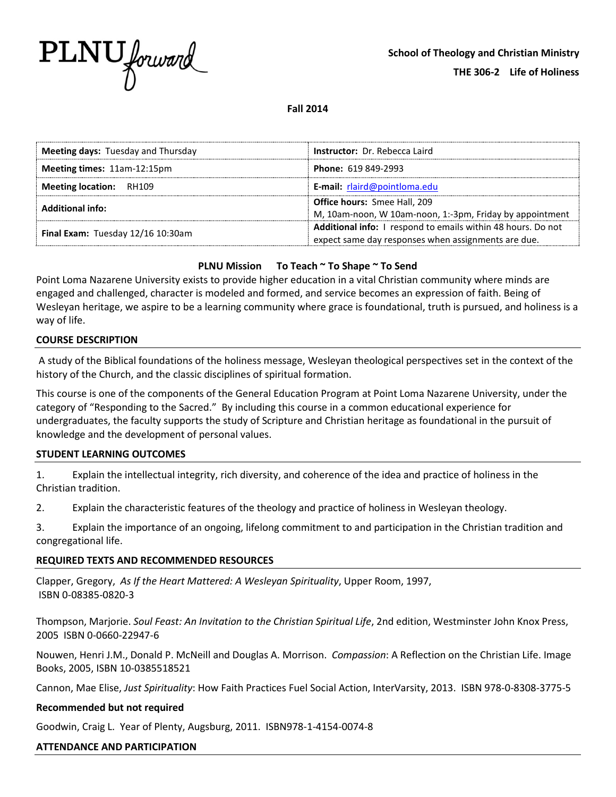

#### **Fall 2014**

| <b>Meeting days: Tuesday and Thursday</b> | Instructor: Dr. Rebecca Laird                                |  |
|-------------------------------------------|--------------------------------------------------------------|--|
| Meeting times: 11am-12:15pm               | <b>Phone: 619 849-2993</b>                                   |  |
| <b>Meeting location: RH109</b>            | <b>E-mail:</b> $rlaird@pointloma.edu$                        |  |
| <b>Additional info:</b>                   | <b>Office hours: Smee Hall, 209</b>                          |  |
|                                           | M, 10am-noon, W 10am-noon, 1:-3pm, Friday by appointment     |  |
| Final Exam: Tuesday 12/16 10:30am         | Additional info: I respond to emails within 48 hours. Do not |  |
|                                           | expect same day responses when assignments are due.          |  |

## **PLNU Mission To Teach ~ To Shape ~ To Send**

Point Loma Nazarene University exists to provide higher education in a vital Christian community where minds are engaged and challenged, character is modeled and formed, and service becomes an expression of faith. Being of Wesleyan heritage, we aspire to be a learning community where grace is foundational, truth is pursued, and holiness is a way of life.

#### **COURSE DESCRIPTION**

A study of the Biblical foundations of the holiness message, Wesleyan theological perspectives set in the context of the history of the Church, and the classic disciplines of spiritual formation.

This course is one of the components of the General Education Program at Point Loma Nazarene University, under the category of "Responding to the Sacred." By including this course in a common educational experience for undergraduates, the faculty supports the study of Scripture and Christian heritage as foundational in the pursuit of knowledge and the development of personal values.

## **STUDENT LEARNING OUTCOMES**

1. Explain the intellectual integrity, rich diversity, and coherence of the idea and practice of holiness in the Christian tradition.

2. Explain the characteristic features of the theology and practice of holiness in Wesleyan theology.

3. Explain the importance of an ongoing, lifelong commitment to and participation in the Christian tradition and congregational life.

#### **REQUIRED TEXTS AND RECOMMENDED RESOURCES**

Clapper, Gregory, *As If the Heart Mattered: A Wesleyan Spirituality*, Upper Room, 1997, ISBN 0-08385-0820-3

Thompson, Marjorie. *Soul Feast: An Invitation to the Christian Spiritual Life*, 2nd edition, Westminster John Knox Press, 2005 ISBN 0-0660-22947-6

Nouwen, Henri J.M., Donald P. McNeill and Douglas A. Morrison. *Compassion*: A Reflection on the Christian Life. Image Books, 2005, ISBN 10-0385518521

Cannon, Mae Elise, *Just Spirituality*: How Faith Practices Fuel Social Action, InterVarsity, 2013. ISBN 978-0-8308-3775-5

#### **Recommended but not required**

Goodwin, Craig L. Year of Plenty, Augsburg, 2011. ISBN978-1-4154-0074-8

## **ATTENDANCE AND PARTICIPATION**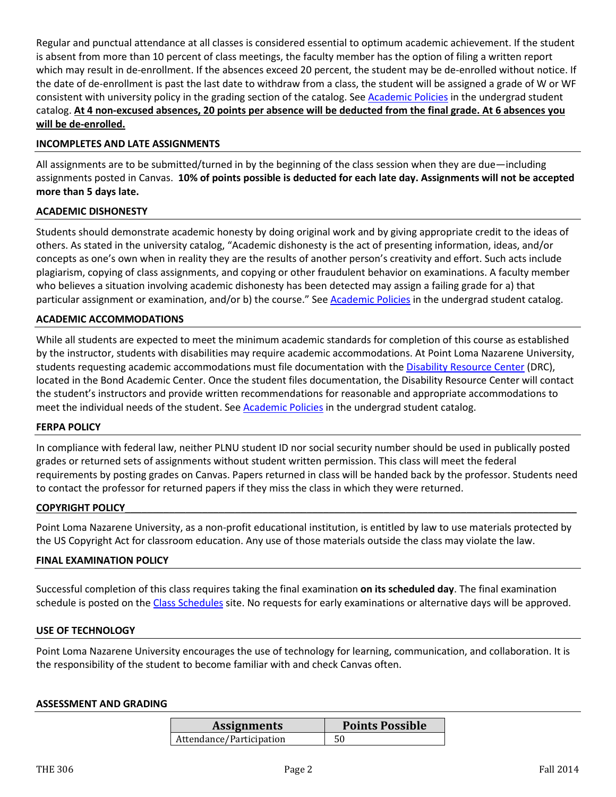Regular and punctual attendance at all classes is considered essential to optimum academic achievement. If the student is absent from more than 10 percent of class meetings, the faculty member has the option of filing a written report which may result in de-enrollment. If the absences exceed 20 percent, the student may be de-enrolled without notice. If the date of de-enrollment is past the last date to withdraw from a class, the student will be assigned a grade of W or WF consistent with university policy in the grading section of the catalog. See [Academic Policies](http://www.pointloma.edu/experience/academics/catalogs/undergraduate-catalog/point-loma-education/academic-policies) in the undergrad student catalog. **At 4 non-excused absences, 20 points per absence will be deducted from the final grade. At 6 absences you will be de-enrolled.**

## **INCOMPLETES AND LATE ASSIGNMENTS**

All assignments are to be submitted/turned in by the beginning of the class session when they are due—including assignments posted in Canvas. **10% of points possible is deducted for each late day. Assignments will not be accepted more than 5 days late.** 

#### **ACADEMIC DISHONESTY**

Students should demonstrate academic honesty by doing original work and by giving appropriate credit to the ideas of others. As stated in the university catalog, "Academic dishonesty is the act of presenting information, ideas, and/or concepts as one's own when in reality they are the results of another person's creativity and effort. Such acts include plagiarism, copying of class assignments, and copying or other fraudulent behavior on examinations. A faculty member who believes a situation involving academic dishonesty has been detected may assign a failing grade for a) that particular assignment or examination, and/or b) the course." Se[e Academic Policies](http://www.pointloma.edu/experience/academics/catalogs/undergraduate-catalog/point-loma-education/academic-policies) in the undergrad student catalog.

#### **ACADEMIC ACCOMMODATIONS**

While all students are expected to meet the minimum academic standards for completion of this course as established by the instructor, students with disabilities may require academic accommodations. At Point Loma Nazarene University, students requesting academic accommodations must file documentation with the [Disability Resource Center](http://www.pointloma.edu/experience/offices/administrative-offices/academic-advising-office/disability-resource-center) (DRC), located in the Bond Academic Center. Once the student files documentation, the Disability Resource Center will contact the student's instructors and provide written recommendations for reasonable and appropriate accommodations to meet the individual needs of the student. See [Academic Policies](http://www.pointloma.edu/experience/academics/catalogs/undergraduate-catalog/point-loma-education/academic-policies) in the undergrad student catalog.

#### **FERPA POLICY**

In compliance with federal law, neither PLNU student ID nor social security number should be used in publically posted grades or returned sets of assignments without student written permission. This class will meet the federal requirements by posting grades on Canvas. Papers returned in class will be handed back by the professor. Students need to contact the professor for returned papers if they miss the class in which they were returned.

#### **COPYRIGHT POLICY**\_\_\_\_\_\_\_\_\_\_\_\_\_\_\_\_\_\_\_\_\_\_\_\_\_\_\_\_\_\_\_\_\_\_\_\_\_\_\_\_\_\_\_\_\_\_\_\_\_\_\_\_\_\_\_\_\_\_\_\_\_\_\_\_\_\_\_\_\_\_\_\_\_\_\_\_\_\_\_\_\_\_

Point Loma Nazarene University, as a non-profit educational institution, is entitled by law to use materials protected by the US Copyright Act for classroom education. Any use of those materials outside the class may violate the law.

#### **FINAL EXAMINATION POLICY**

Successful completion of this class requires taking the final examination **on its scheduled day**. The final examination schedule is posted on the [Class Schedules](http://www.pointloma.edu/experience/academics/class-schedules) site. No requests for early examinations or alternative days will be approved.

#### **USE OF TECHNOLOGY**

Point Loma Nazarene University encourages the use of technology for learning, communication, and collaboration. It is the responsibility of the student to become familiar with and check Canvas often.

#### **ASSESSMENT AND GRADING**

| <b>Assignments</b>       | <b>Points Possible</b> |
|--------------------------|------------------------|
| Attendance/Participation |                        |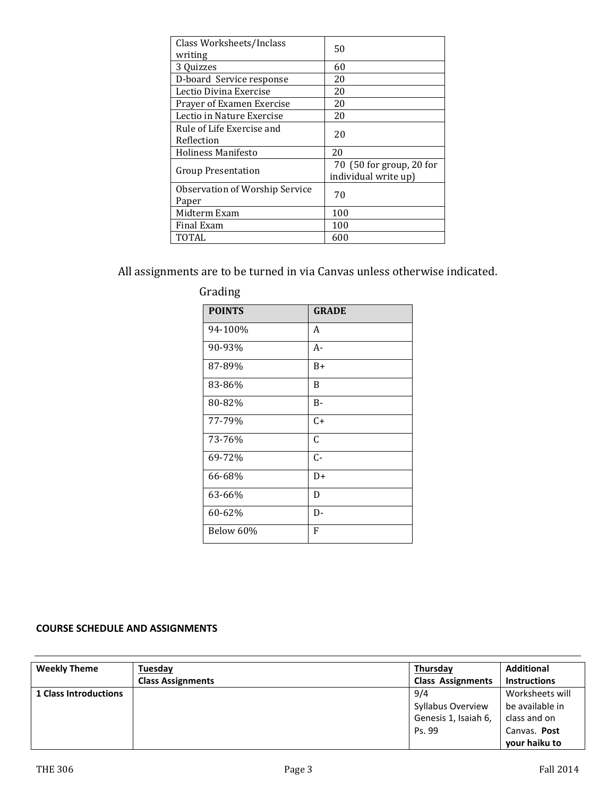| Class Worksheets/Inclass<br>writing | 50                                               |
|-------------------------------------|--------------------------------------------------|
| 3 Quizzes                           | 60                                               |
| D-board Service response            | 20                                               |
| Lectio Divina Exercise              | 20                                               |
| Prayer of Examen Exercise           | 20                                               |
| Lectio in Nature Exercise           | 20                                               |
| Rule of Life Exercise and           | 20                                               |
| Reflection                          |                                                  |
| Holiness Manifesto                  | 20                                               |
| <b>Group Presentation</b>           | 70 (50 for group, 20 for<br>individual write up) |
| Observation of Worship Service      | 70                                               |
| Paper                               |                                                  |
| Midterm Exam                        | 100                                              |
| Final Exam                          | 100                                              |
| TOTAL                               | 600                                              |

All assignments are to be turned in via Canvas unless otherwise indicated.

| <b>POINTS</b> | <b>GRADE</b> |
|---------------|--------------|
| 94-100%       | A            |
| 90-93%        | A-           |
| 87-89%        | $B+$         |
| 83-86%        | B            |
| 80-82%        | $B -$        |
| 77-79%        | $C+$         |
| 73-76%        | C            |
| 69-72%        | $C -$        |
| 66-68%        | D+           |
| 63-66%        | D            |
| 60-62%        | $D -$        |
| Below 60%     | F            |

Grading

# **COURSE SCHEDULE AND ASSIGNMENTS**

| <b>Weekly Theme</b>          | Tuesday                  | Thursday                 | <b>Additional</b>   |
|------------------------------|--------------------------|--------------------------|---------------------|
|                              | <b>Class Assignments</b> | <b>Class Assignments</b> | <b>Instructions</b> |
| <b>1 Class Introductions</b> |                          | 9/4                      | Worksheets will     |
|                              |                          | Syllabus Overview        | be available in     |
|                              |                          | Genesis 1, Isaiah 6,     | class and on        |
|                              |                          | Ps. 99                   | Canvas. Post        |
|                              |                          |                          | your haiku to       |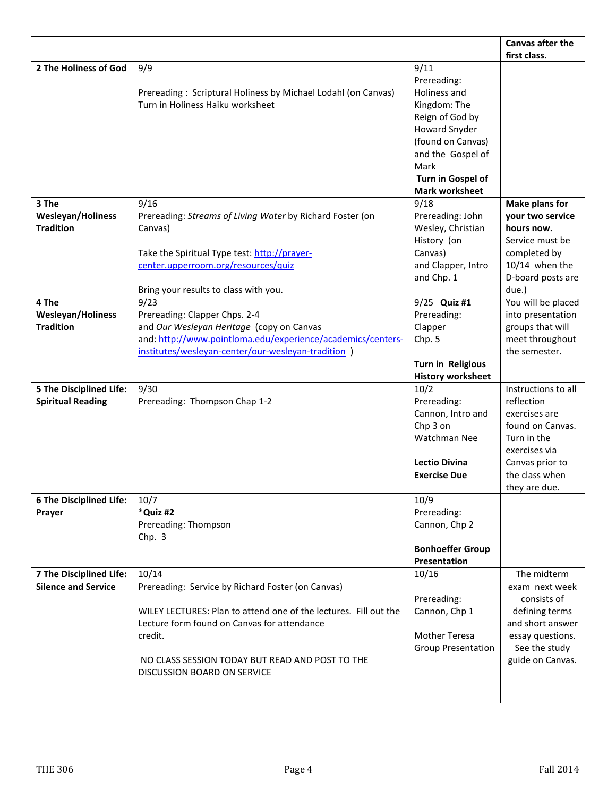|                                |                                                                  |                                             | Canvas after the                        |
|--------------------------------|------------------------------------------------------------------|---------------------------------------------|-----------------------------------------|
|                                |                                                                  |                                             | first class.                            |
| 2 The Holiness of God          | 9/9                                                              | 9/11<br>Prereading:                         |                                         |
|                                | Prereading: Scriptural Holiness by Michael Lodahl (on Canvas)    | Holiness and                                |                                         |
|                                | Turn in Holiness Haiku worksheet                                 | Kingdom: The                                |                                         |
|                                |                                                                  | Reign of God by                             |                                         |
|                                |                                                                  | Howard Snyder                               |                                         |
|                                |                                                                  | (found on Canvas)                           |                                         |
|                                |                                                                  | and the Gospel of                           |                                         |
|                                |                                                                  | Mark                                        |                                         |
|                                |                                                                  | Turn in Gospel of                           |                                         |
|                                |                                                                  | <b>Mark worksheet</b>                       |                                         |
| 3 The                          | 9/16                                                             | 9/18                                        | <b>Make plans for</b>                   |
| <b>Wesleyan/Holiness</b>       | Prereading: Streams of Living Water by Richard Foster (on        | Prereading: John                            | your two service                        |
| <b>Tradition</b>               | Canvas)                                                          | Wesley, Christian                           | hours now.                              |
|                                |                                                                  | History (on                                 | Service must be                         |
|                                | Take the Spiritual Type test: http://prayer-                     | Canvas)                                     | completed by                            |
|                                | center.upperroom.org/resources/quiz                              | and Clapper, Intro                          | $10/14$ when the                        |
|                                |                                                                  | and Chp. 1                                  | D-board posts are                       |
| 4 The                          | Bring your results to class with you.                            | 9/25 Quiz #1                                | due.)                                   |
| <b>Wesleyan/Holiness</b>       | 9/23<br>Prereading: Clapper Chps. 2-4                            | Prereading:                                 | You will be placed<br>into presentation |
| <b>Tradition</b>               | and Our Wesleyan Heritage (copy on Canvas                        | Clapper                                     | groups that will                        |
|                                | and: http://www.pointloma.edu/experience/academics/centers-      | Chp. 5                                      | meet throughout                         |
|                                | institutes/wesleyan-center/our-wesleyan-tradition )              |                                             | the semester.                           |
|                                |                                                                  | Turn in Religious                           |                                         |
|                                |                                                                  | <b>History worksheet</b>                    |                                         |
| <b>5 The Disciplined Life:</b> | 9/30                                                             | 10/2                                        | Instructions to all                     |
| <b>Spiritual Reading</b>       | Prereading: Thompson Chap 1-2                                    | Prereading:                                 | reflection                              |
|                                |                                                                  | Cannon, Intro and                           | exercises are                           |
|                                |                                                                  | Chp 3 on                                    | found on Canvas.                        |
|                                |                                                                  | Watchman Nee                                | Turn in the                             |
|                                |                                                                  |                                             | exercises via                           |
|                                |                                                                  | <b>Lectio Divina</b><br><b>Exercise Due</b> | Canvas prior to                         |
|                                |                                                                  |                                             | the class when<br>they are due.         |
| <b>6 The Disciplined Life:</b> | 10/7                                                             | 10/9                                        |                                         |
| Prayer                         | *Quiz #2                                                         | Prereading:                                 |                                         |
|                                | Prereading: Thompson                                             | Cannon, Chp 2                               |                                         |
|                                | Chp. 3                                                           |                                             |                                         |
|                                |                                                                  | <b>Bonhoeffer Group</b>                     |                                         |
|                                |                                                                  | Presentation                                |                                         |
| 7 The Disciplined Life:        | 10/14                                                            | 10/16                                       | The midterm                             |
| <b>Silence and Service</b>     | Prereading: Service by Richard Foster (on Canvas)                |                                             | exam next week<br>consists of           |
|                                | WILEY LECTURES: Plan to attend one of the lectures. Fill out the | Prereading:                                 | defining terms                          |
|                                | Lecture form found on Canvas for attendance                      | Cannon, Chp 1                               | and short answer                        |
|                                | credit.                                                          | <b>Mother Teresa</b>                        | essay questions.                        |
|                                |                                                                  | <b>Group Presentation</b>                   | See the study                           |
|                                | NO CLASS SESSION TODAY BUT READ AND POST TO THE                  |                                             | guide on Canvas.                        |
|                                | DISCUSSION BOARD ON SERVICE                                      |                                             |                                         |
|                                |                                                                  |                                             |                                         |
|                                |                                                                  |                                             |                                         |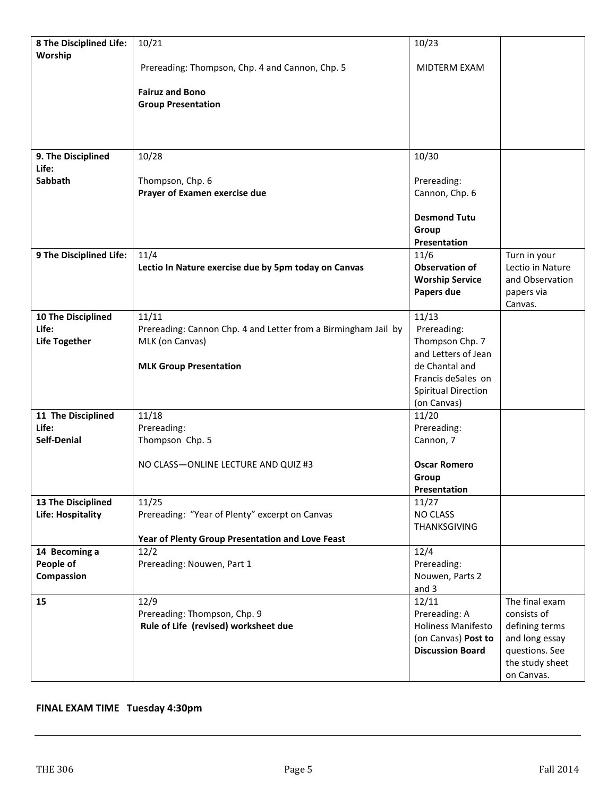| 8 The Disciplined Life:   | 10/21                                                          | 10/23                       |                  |
|---------------------------|----------------------------------------------------------------|-----------------------------|------------------|
| Worship                   |                                                                |                             |                  |
|                           | Prereading: Thompson, Chp. 4 and Cannon, Chp. 5                | MIDTERM EXAM                |                  |
|                           |                                                                |                             |                  |
|                           | <b>Fairuz and Bono</b>                                         |                             |                  |
|                           | <b>Group Presentation</b>                                      |                             |                  |
|                           |                                                                |                             |                  |
|                           |                                                                |                             |                  |
|                           |                                                                |                             |                  |
| 9. The Disciplined        | 10/28                                                          | 10/30                       |                  |
| Life:                     |                                                                |                             |                  |
| Sabbath                   | Thompson, Chp. 6                                               | Prereading:                 |                  |
|                           | Prayer of Examen exercise due                                  | Cannon, Chp. 6              |                  |
|                           |                                                                |                             |                  |
|                           |                                                                | <b>Desmond Tutu</b>         |                  |
|                           |                                                                | Group                       |                  |
| 9 The Disciplined Life:   | 11/4                                                           | <b>Presentation</b><br>11/6 | Turn in your     |
|                           | Lectio In Nature exercise due by 5pm today on Canvas           | <b>Observation of</b>       | Lectio in Nature |
|                           |                                                                | <b>Worship Service</b>      | and Observation  |
|                           |                                                                | Papers due                  | papers via       |
|                           |                                                                |                             | Canvas.          |
| <b>10 The Disciplined</b> | 11/11                                                          | 11/13                       |                  |
| Life:                     | Prereading: Cannon Chp. 4 and Letter from a Birmingham Jail by | Prereading:                 |                  |
| <b>Life Together</b>      | MLK (on Canvas)                                                | Thompson Chp. 7             |                  |
|                           |                                                                | and Letters of Jean         |                  |
|                           | <b>MLK Group Presentation</b>                                  | de Chantal and              |                  |
|                           |                                                                | Francis deSales on          |                  |
|                           |                                                                | <b>Spiritual Direction</b>  |                  |
|                           |                                                                | (on Canvas)                 |                  |
| 11 The Disciplined        | 11/18                                                          | 11/20                       |                  |
| Life:                     | Prereading:                                                    | Prereading:                 |                  |
| <b>Self-Denial</b>        | Thompson Chp. 5                                                | Cannon, 7                   |                  |
|                           |                                                                |                             |                  |
|                           | NO CLASS-ONLINE LECTURE AND QUIZ #3                            | <b>Oscar Romero</b>         |                  |
|                           |                                                                | Group                       |                  |
| 13 The Disciplined        | 11/25                                                          | Presentation<br>11/27       |                  |
| Life: Hospitality         | Prereading: "Year of Plenty" excerpt on Canvas                 | NO CLASS                    |                  |
|                           |                                                                | THANKSGIVING                |                  |
|                           | Year of Plenty Group Presentation and Love Feast               |                             |                  |
| 14 Becoming a             | 12/2                                                           | 12/4                        |                  |
| People of                 | Prereading: Nouwen, Part 1                                     | Prereading:                 |                  |
| Compassion                |                                                                | Nouwen, Parts 2             |                  |
|                           |                                                                | and 3                       |                  |
| 15                        | 12/9                                                           | 12/11                       | The final exam   |
|                           | Prereading: Thompson, Chp. 9                                   | Prereading: A               | consists of      |
|                           | Rule of Life (revised) worksheet due                           | Holiness Manifesto          | defining terms   |
|                           |                                                                | (on Canvas) Post to         | and long essay   |
|                           |                                                                | <b>Discussion Board</b>     | questions. See   |
|                           |                                                                |                             | the study sheet  |
|                           |                                                                |                             | on Canvas.       |

# **FINAL EXAM TIME Tuesday 4:30pm**